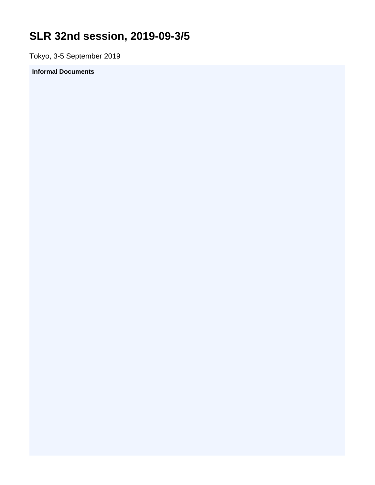## <span id="page-0-0"></span>**SLR 32nd session, 2019-09-3/5**

Tokyo, 3-5 September 2019

## **Informal Documents**